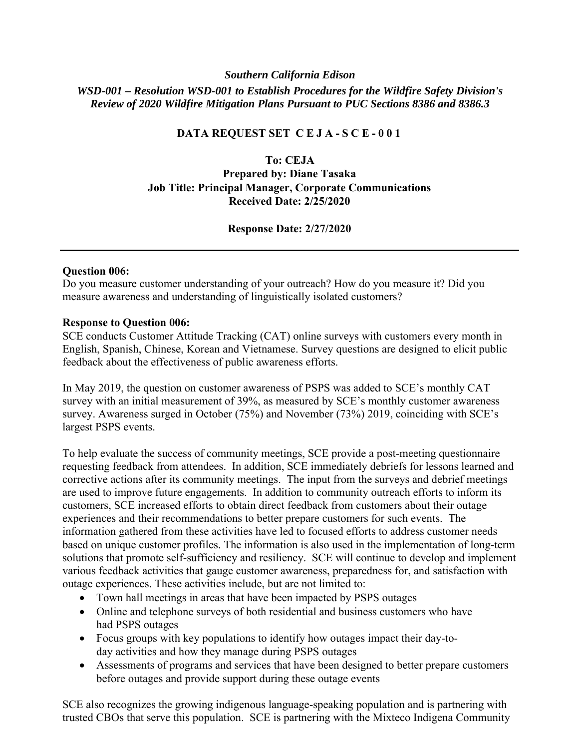### *Southern California Edison*

*WSD-001 – Resolution WSD-001 to Establish Procedures for the Wildfire Safety Division's Review of 2020 Wildfire Mitigation Plans Pursuant to PUC Sections 8386 and 8386.3* 

### **DATA REQUEST SET C E J A - S C E - 0 0 1**

### **To: CEJA**

# **Prepared by: Diane Tasaka Job Title: Principal Manager, Corporate Communications Received Date: 2/25/2020**

## **Response Date: 2/27/2020**

### **Question 006:**

Do you measure customer understanding of your outreach? How do you measure it? Did you measure awareness and understanding of linguistically isolated customers?

#### **Response to Question 006:**

SCE conducts Customer Attitude Tracking (CAT) online surveys with customers every month in English, Spanish, Chinese, Korean and Vietnamese. Survey questions are designed to elicit public feedback about the effectiveness of public awareness efforts.

In May 2019, the question on customer awareness of PSPS was added to SCE's monthly CAT survey with an initial measurement of 39%, as measured by SCE's monthly customer awareness survey. Awareness surged in October (75%) and November (73%) 2019, coinciding with SCE's largest PSPS events.

To help evaluate the success of community meetings, SCE provide a post-meeting questionnaire requesting feedback from attendees. In addition, SCE immediately debriefs for lessons learned and corrective actions after its community meetings. The input from the surveys and debrief meetings are used to improve future engagements. In addition to community outreach efforts to inform its customers, SCE increased efforts to obtain direct feedback from customers about their outage experiences and their recommendations to better prepare customers for such events. The information gathered from these activities have led to focused efforts to address customer needs based on unique customer profiles. The information is also used in the implementation of long-term solutions that promote self-sufficiency and resiliency. SCE will continue to develop and implement various feedback activities that gauge customer awareness, preparedness for, and satisfaction with outage experiences. These activities include, but are not limited to:

- Town hall meetings in areas that have been impacted by PSPS outages
- Online and telephone surveys of both residential and business customers who have had PSPS outages
- Focus groups with key populations to identify how outages impact their day-today activities and how they manage during PSPS outages
- Assessments of programs and services that have been designed to better prepare customers before outages and provide support during these outage events

SCE also recognizes the growing indigenous language-speaking population and is partnering with trusted CBOs that serve this population. SCE is partnering with the Mixteco Indigena Community